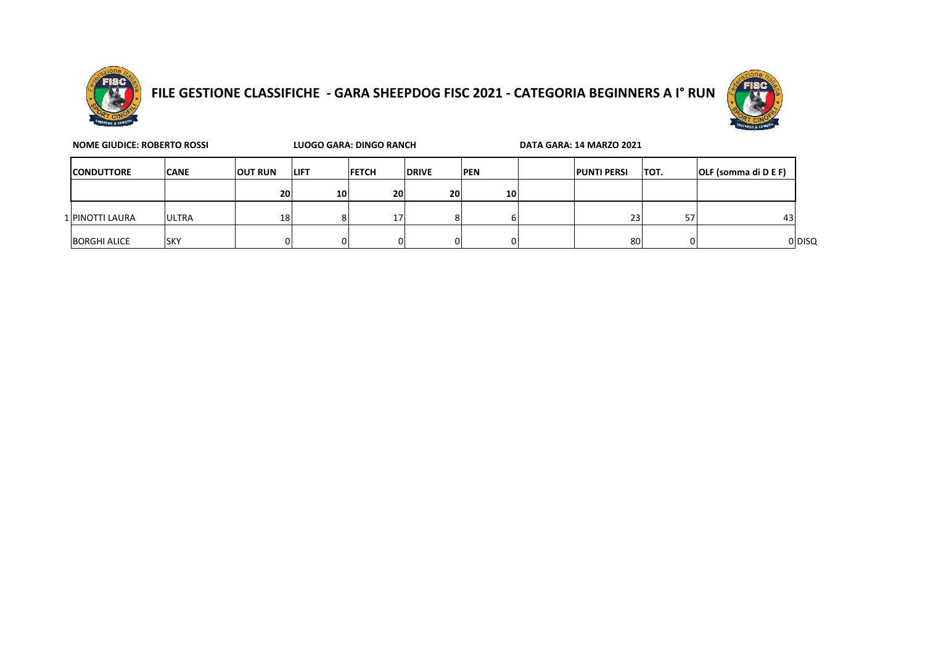

## **FILE GESTIONE CLASSIFICHE - GARA SHEEPDOG FISC 2021 - CATEGORIA BEGINNERS A I° RUN**



| <b>NOME GIUDICE: ROBERTO ROSSI</b> | LUOGO GARA: DINGO RANCH |                |              |               | DATA GARA: 14 MARZO 2021 |            |  |                    |       |                      |        |
|------------------------------------|-------------------------|----------------|--------------|---------------|--------------------------|------------|--|--------------------|-------|----------------------|--------|
| <b>ICONDUTTORE</b>                 | <b>CANE</b>             | <b>OUT RUN</b> | <b>ILIFT</b> | <b>IFETCH</b> | <b>DRIVE</b>             | <b>PEN</b> |  | <b>PUNTI PERSI</b> | ітот. | OLF (somma di D E F) |        |
|                                    |                         | 20             | 10           | <b>20</b>     | 20                       | 10         |  |                    |       |                      |        |
| 1 PINOTTI LAURA                    | <b>ULTRA</b>            | 18             |              | 17            |                          | n          |  | 23 <sub>1</sub>    | 57    | 43                   |        |
| <b>BORGHI ALICE</b>                | <b>SKY</b>              |                |              |               |                          |            |  | 80                 |       |                      | 0 DISQ |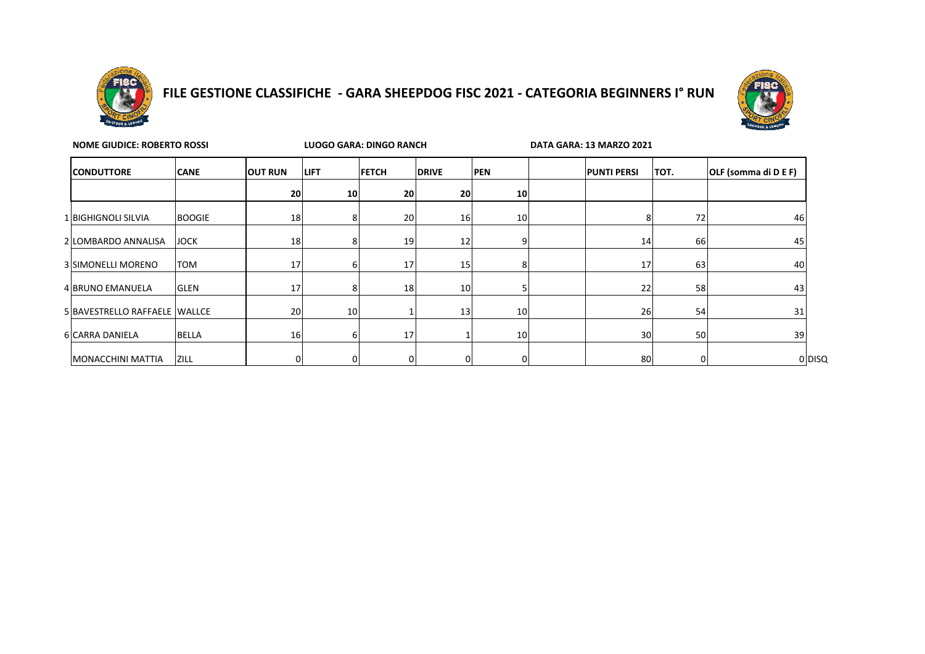

## **FILE GESTIONE CLASSIFICHE - GARA SHEEPDOG FISC 2021 - CATEGORIA BEGINNERS I° RUN**



| <b>NOME GIUDICE: ROBERTO ROSSI</b> |               | LUOGO GARA: DINGO RANCH |    |              | DATA GARA: 13 MARZO 2021 |            |  |                    |      |                      |
|------------------------------------|---------------|-------------------------|----|--------------|--------------------------|------------|--|--------------------|------|----------------------|
| <b>CONDUTTORE</b>                  | <b>CANE</b>   | <b>OUT RUN</b>          |    | <b>FETCH</b> | <b>DRIVE</b>             | <b>PEN</b> |  | <b>PUNTI PERSI</b> | TOT. | OLF (somma di D E F) |
|                                    |               | 20                      | 10 | 20           | 20 <sub>l</sub>          | 10         |  |                    |      |                      |
| 1 BIGHIGNOLI SILVIA                | <b>BOOGIE</b> | 18                      | ٥  | 20           | 16                       | 10         |  |                    | 72   | 46                   |
| 2 LOMBARDO ANNALISA                | <b>JOCK</b>   | 18                      |    | 19           | 12                       |            |  | 14                 | 66   | 45                   |
| 3 SIMONELLI MORENO                 | <b>TOM</b>    | 17                      | b  | 17           | 15                       | 8          |  | 17                 | 63   | 40                   |
| 4 BRUNO EMANUELA                   | <b>GLEN</b>   | 17                      | 8  | 18           | 10                       |            |  | 22                 | 58   | 43                   |
| 5 BAVESTRELLO RAFFAELE WALLCE      |               | 20                      | 10 |              | 13                       | 10         |  | 26                 | 54   | 31                   |
| 6 CARRA DANIELA                    | <b>BELLA</b>  | 16                      | b  | 17           |                          | 10         |  | 30 <sup>1</sup>    | 50   | 39                   |
| MONACCHINI MATTIA                  | <b>ZILL</b>   |                         |    | ΩI           | 0                        | 0          |  | 80                 |      | 0 DISQ               |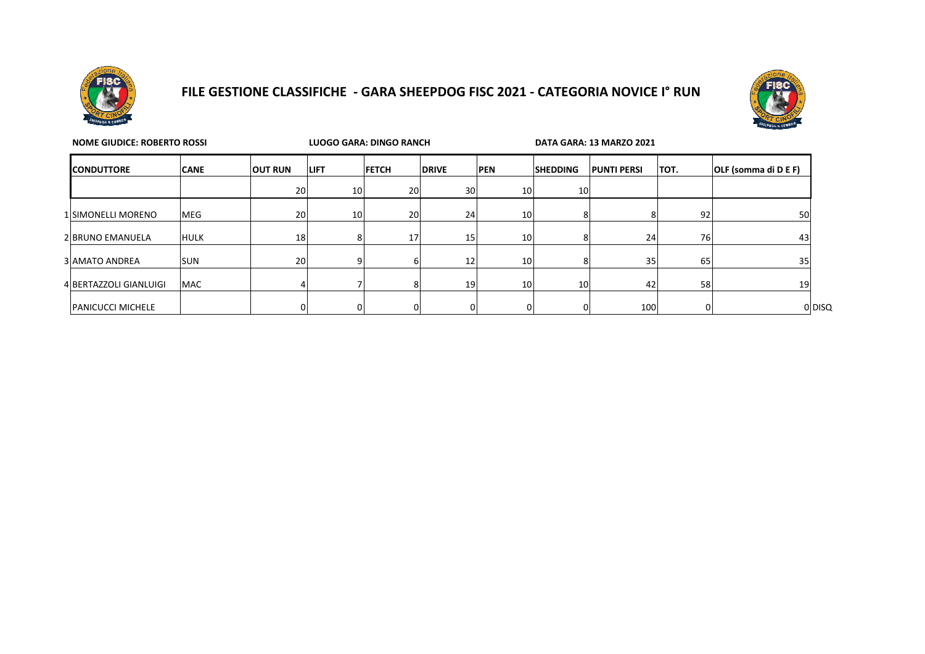

## **FILE GESTIONE CLASSIFICHE - GARA SHEEPDOG FISC 2021 - CATEGORIA NOVICE I° RUN**



| <b>NOME GIUDICE: ROBERTO ROSSI</b> |             |                |                 | LUOGO GARA: DINGO RANCH |                 |                 | DATA GARA: 13 MARZO 2021 |                    |      |                      |
|------------------------------------|-------------|----------------|-----------------|-------------------------|-----------------|-----------------|--------------------------|--------------------|------|----------------------|
| <b>CONDUTTORE</b>                  | <b>CANE</b> | <b>OUT RUN</b> | <b>LIFT</b>     | <b>FETCH</b>            | <b>DRIVE</b>    | <b>PEN</b>      | <b>SHEDDING</b>          | <b>PUNTI PERSI</b> | TOT. | OLF (somma di D E F) |
|                                    |             | 20             | 10 <sup>1</sup> | 20                      | 30              | 10 <sup>1</sup> | 10 <sub>1</sub>          |                    |      |                      |
| 1 SIMONELLI MORENO                 | <b>MEG</b>  | 20             | 10              | 20 <sup>1</sup>         | 24              | 10 <sup>1</sup> |                          |                    | 92   | 50                   |
| 2 BRUNO EMANUELA                   | <b>HULK</b> | 18             |                 | 17 <sup>1</sup>         | 15              | 10 <sup>1</sup> |                          | 24                 | 76   | 43                   |
| 3 AMATO ANDREA                     | <b>SUN</b>  | 20             |                 |                         | 12              | 10 <sup>1</sup> |                          | 35                 | 65   | 35 <sub>1</sub>      |
| 4 BERTAZZOLI GIANLUIGI             | <b>MAC</b>  |                |                 |                         | 19 <sup>l</sup> | 10              | 10                       | 42                 | 58   | 19                   |
| <b>PANICUCCI MICHELE</b>           |             | ΟI             |                 | υι                      |                 |                 |                          | 100                |      | 0 DISQ               |